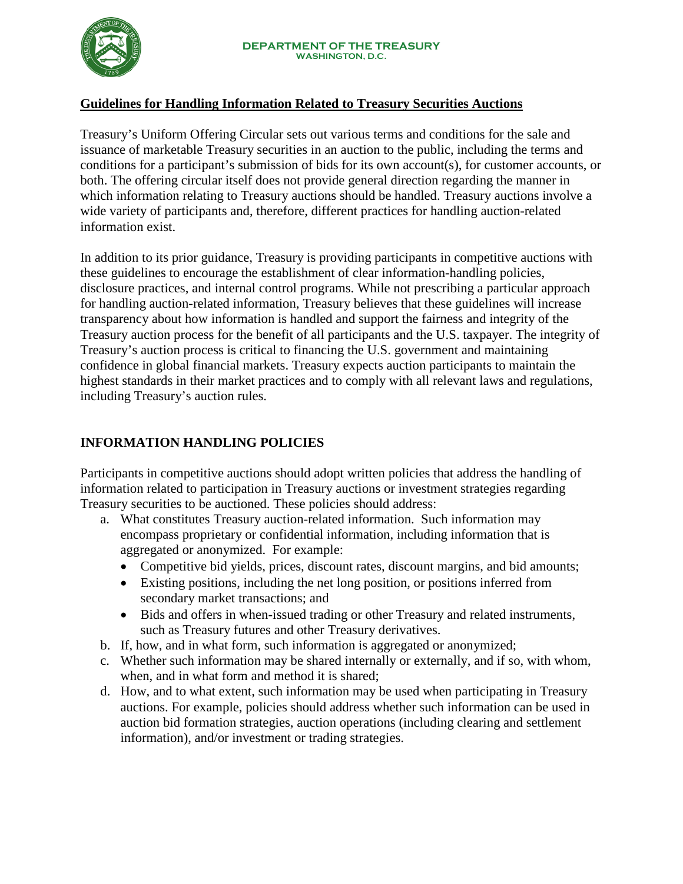

# **Guidelines for Handling Information Related to Treasury Securities Auctions**

Treasury's Uniform Offering Circular sets out various terms and conditions for the sale and issuance of marketable Treasury securities in an auction to the public, including the terms and conditions for a participant's submission of bids for its own account(s), for customer accounts, or both. The offering circular itself does not provide general direction regarding the manner in which information relating to Treasury auctions should be handled. Treasury auctions involve a wide variety of participants and, therefore, different practices for handling auction-related information exist.

In addition to its prior guidance, Treasury is providing participants in competitive auctions with these guidelines to encourage the establishment of clear information-handling policies, disclosure practices, and internal control programs. While not prescribing a particular approach for handling auction-related information, Treasury believes that these guidelines will increase transparency about how information is handled and support the fairness and integrity of the Treasury auction process for the benefit of all participants and the U.S. taxpayer. The integrity of Treasury's auction process is critical to financing the U.S. government and maintaining confidence in global financial markets. Treasury expects auction participants to maintain the highest standards in their market practices and to comply with all relevant laws and regulations, including Treasury's auction rules.

# **INFORMATION HANDLING POLICIES**

Participants in competitive auctions should adopt written policies that address the handling of information related to participation in Treasury auctions or investment strategies regarding Treasury securities to be auctioned. These policies should address:

- a. What constitutes Treasury auction-related information. Such information may encompass proprietary or confidential information, including information that is aggregated or anonymized. For example:
	- Competitive bid yields, prices, discount rates, discount margins, and bid amounts;
	- Existing positions, including the net long position, or positions inferred from secondary market transactions; and
	- Bids and offers in when-issued trading or other Treasury and related instruments, such as Treasury futures and other Treasury derivatives.
- b. If, how, and in what form, such information is aggregated or anonymized;
- c. Whether such information may be shared internally or externally, and if so, with whom, when, and in what form and method it is shared;
- d. How, and to what extent, such information may be used when participating in Treasury auctions. For example, policies should address whether such information can be used in auction bid formation strategies, auction operations (including clearing and settlement information), and/or investment or trading strategies.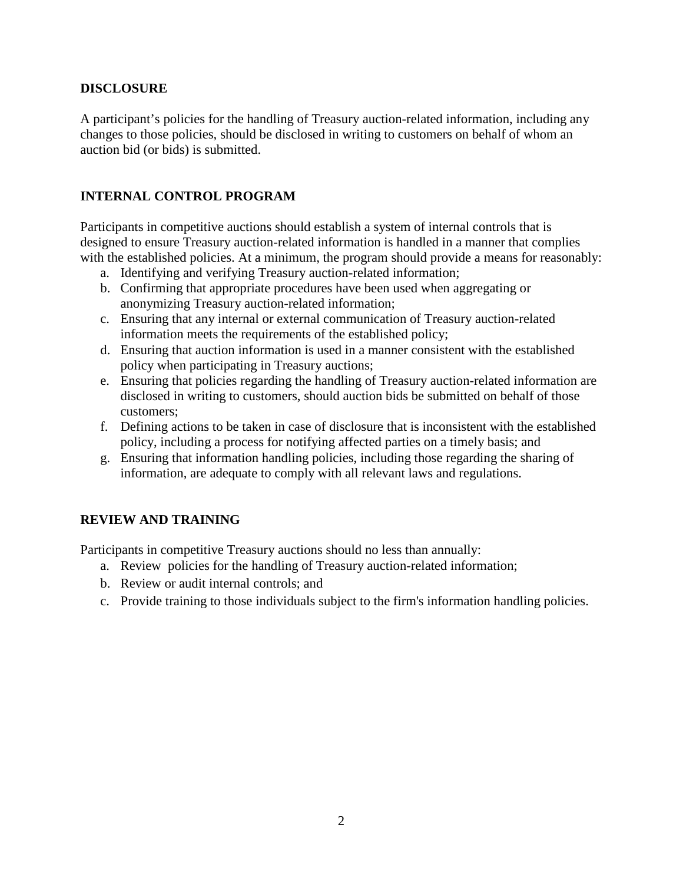### **DISCLOSURE**

A participant's policies for the handling of Treasury auction-related information, including any changes to those policies, should be disclosed in writing to customers on behalf of whom an auction bid (or bids) is submitted.

## **INTERNAL CONTROL PROGRAM**

Participants in competitive auctions should establish a system of internal controls that is designed to ensure Treasury auction-related information is handled in a manner that complies with the established policies. At a minimum, the program should provide a means for reasonably:

- a. Identifying and verifying Treasury auction-related information;
- b. Confirming that appropriate procedures have been used when aggregating or anonymizing Treasury auction-related information;
- c. Ensuring that any internal or external communication of Treasury auction-related information meets the requirements of the established policy;
- d. Ensuring that auction information is used in a manner consistent with the established policy when participating in Treasury auctions;
- e. Ensuring that policies regarding the handling of Treasury auction-related information are disclosed in writing to customers, should auction bids be submitted on behalf of those customers;
- f. Defining actions to be taken in case of disclosure that is inconsistent with the established policy, including a process for notifying affected parties on a timely basis; and
- g. Ensuring that information handling policies, including those regarding the sharing of information, are adequate to comply with all relevant laws and regulations.

# **REVIEW AND TRAINING**

Participants in competitive Treasury auctions should no less than annually:

- a. Review policies for the handling of Treasury auction-related information;
- b. Review or audit internal controls; and
- c. Provide training to those individuals subject to the firm's information handling policies.